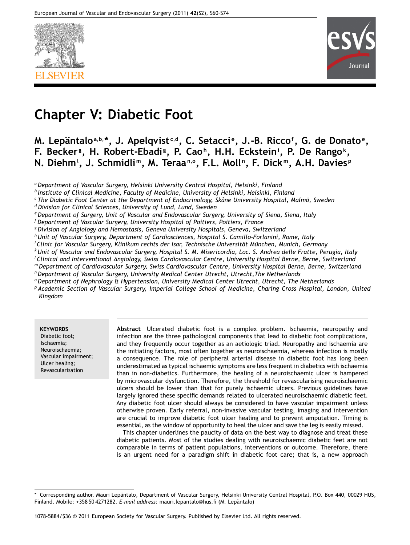



# Chapter V: Diabetic Foot

# M. Lepäntaloª,b,\*, J. Apelqvist¤,d, C. Setacci®, J.-B. Riccof, G. de Donato®, F. Becker<sup>g</sup>, H. Robert-Ebadi<sup>g</sup>, P. Caoh, H.H. Ecksteini, P. De Rango<sup>k</sup>, N. Diehm', J. Schmidli<sup>m</sup>, M. Teraa<u>no,</u> F.L. Molln, F. Dickm, A.H. Daviesp

<sup>a</sup> Department of Vascular Surgery, Helsinki University Central Hospital, Helsinki, Finland

 $<sup>b</sup>$  Institute of Clinical Medicine, Faculty of Medicine, University of Helsinki, Helsinki, Finland</sup>

<sup>c</sup> The Diabetic Foot Center at the Department of Endocrinology, Skåne University Hospital, Malmö, Sweden

 $d$  Division for Clinical Sciences, University of Lund, Lund, Sweden

<sup>e</sup> Department of Surgery, Unit of Vascular and Endovascular Surgery, University of Siena, Siena, Italy

<sup>f</sup> Department of Vascular Surgery, University Hospital of Poitiers, Poitiers, France

<sup>g</sup> Division of Angiology and Hemostasis, Geneva University Hospitals, Geneva, Switzerland

<sup>h</sup> Unit of Vascular Surgery, Department of Cardiosciences, Hospital S. Camillo-Forlanini, Rome, Italy

<sup>i</sup> Clinic for Vascular Surgery, Klinikum rechts der Isar, Technische Universität München, Munich, Germany

<sup>k</sup> Unit of Vascular and Endovascular Surgery, Hospital S. M. Misericordia, Loc. S. Andrea delle Fratte, Perugia, Italy

 $l$  Clinical and Interventional Angiology, Swiss Cardiovascular Centre, University Hospital Berne, Berne, Switzerland

<sup>m</sup> Department of Cardiovascular Surgery, Swiss Cardiovascular Centre, University Hospital Berne, Berne, Switzerland

<sup>n</sup> Department of Vascular Surgery, University Medical Center Utrecht, Utrecht,The Netherlands

 $^{\circ}$  Department of Nephrology & Hypertension, University Medical Center Utrecht, Utrecht, The Netherlands

<sup>p</sup> Academic Section of Vascular Surgery, Imperial College School of Medicine, Charing Cross Hospital, London, United Kingdom

**KEYWORDS** 

Diabetic foot; Ischaemia; Neuroischaemia; Vascular impairment; Ulcer healing; Revascularisation

Abstract Ulcerated diabetic foot is a complex problem. Ischaemia, neuropathy and infection are the three pathological components that lead to diabetic foot complications, and they frequently occur together as an aetiologic triad. Neuropathy and ischaemia are the initiating factors, most often together as neuroischaemia, whereas infection is mostly a consequence. The role of peripheral arterial disease in diabetic foot has long been underestimated as typical ischaemic symptoms are less frequent in diabetics with ischaemia than in non-diabetics. Furthermore, the healing of a neuroischaemic ulcer is hampered by microvascular dysfunction. Therefore, the threshold for revascularising neuroischaemic ulcers should be lower than that for purely ischaemic ulcers. Previous guidelines have largely ignored these specific demands related to ulcerated neuroischaemic diabetic feet. Any diabetic foot ulcer should always be considered to have vascular impairment unless otherwise proven. Early referral, non-invasive vascular testing, imaging and intervention are crucial to improve diabetic foot ulcer healing and to prevent amputation. Timing is essential, as the window of opportunity to heal the ulcer and save the leg is easily missed.

This chapter underlines the paucity of data on the best way to diagnose and treat these diabetic patients. Most of the studies dealing with neuroischaemic diabetic feet are not comparable in terms of patient populations, interventions or outcome. Therefore, there is an urgent need for a paradigm shift in diabetic foot care; that is, a new approach

<sup>\*</sup> Corresponding author. Mauri Lepäntalo, Department of Vascular Surgery, Helsinki University Central Hospital, P.O. Box 440, 00029 HUS, Finland. Mobile: +358 50 4271282. E-mail address: mauri.lepantalo@hus.fi (M. Lepäntalo)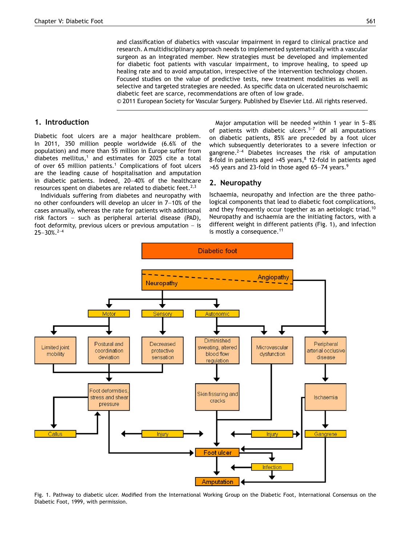and classification of diabetics with vascular impairment in regard to clinical practice and research. A multidisciplinary approach needs to implemented systematically with a vascular surgeon as an integrated member. New strategies must be developed and implemented for diabetic foot patients with vascular impairment, to improve healing, to speed up healing rate and to avoid amputation, irrespective of the intervention technology chosen. Focused studies on the value of predictive tests, new treatment modalities as well as selective and targeted strategies are needed. As specific data on ulcerated neuroischaemic diabetic feet are scarce, recommendations are often of low grade.

© 2011 European Society for Vascular Surgery. Published by Elsevier Ltd. All rights reserved.

# 1. Introduction

Diabetic foot ulcers are a major healthcare problem. In 2011, 350 million people worldwide (6.6% of the population) and more than 55 million in Europe suffer from diabetes mellitus,<sup>1</sup> and estimates for 2025 cite a total of over 65 million patients.<sup>1</sup> Complications of foot ulcers are the leading cause of hospitalisation and amputation in diabetic patients. Indeed, 20-40% of the healthcare resources spent on diabetes are related to diabetic feet.<sup>2,3</sup>

Individuals suffering from diabetes and neuropathy with no other confounders will develop an ulcer in 7-10% of the cases annually, whereas the rate for patients with additional risk factors –– such as peripheral arterial disease (PAD), foot deformity, previous ulcers or previous amputation  $-$  is  $25 - 30\%$ <sup>2-4</sup>

Major amputation will be needed within 1 year in  $5-8%$ of patients with diabetic ulcers. $5-7$  Of all amputations on diabetic patients, 85% are preceded by a foot ulcer which subsequently deteriorates to a severe infection or gangrene. $2-4$  Diabetes increases the risk of amputation 8-fold in patients aged >45 years, $8$  12-fold in patients aged  $>65$  years and 23-fold in those aged 65-74 years.<sup>9</sup>

## 2. Neuropathy

Ischaemia, neuropathy and infection are the three pathological components that lead to diabetic foot complications, and they frequently occur together as an aetiologic triad.<sup>10</sup> Neuropathy and ischaemia are the initiating factors, with a different weight in different patients (Fig. 1), and infection is mostly a consequence.<sup>11</sup>



Fig. 1. Pathway to diabetic ulcer. Modified from the International Working Group on the Diabetic Foot, International Consensus on the Diabetic Foot, 1999, with permission.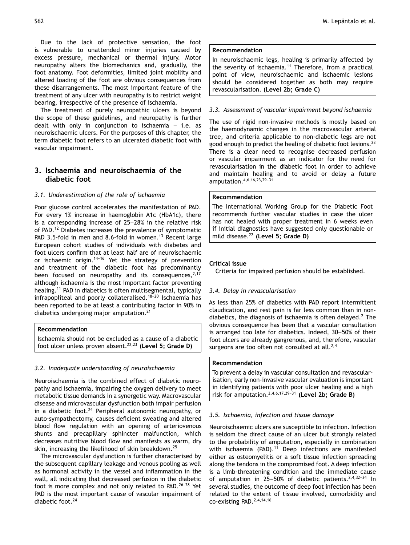Due to the lack of protective sensation, the foot is vulnerable to unattended minor injuries caused by excess pressure, mechanical or thermal injury. Motor neuropathy alters the biomechanics and, gradually, the foot anatomy. Foot deformities, limited joint mobility and altered loading of the foot are obvious consequences from these disarrangements. The most important feature of the treatment of any ulcer with neuropathy is to restrict weight bearing, irrespective of the presence of ischaemia.

The treatment of purely neuropathic ulcers is beyond the scope of these guidelines, and neuropathy is further dealt with only in conjunction to ischaemia  $-$  i.e. as neuroischaemic ulcers. For the purposes of this chapter, the term diabetic foot refers to an ulcerated diabetic foot with vascular impairment.

# 3. Ischaemia and neuroischaemia of the diabetic foot

# 3.1. Underestimation of the role of ischaemia

Poor glucose control accelerates the manifestation of PAD. For every 1% increase in haemoglobin A1c (HbA1c), there is a corresponding increase of  $25-28%$  in the relative risk of PAD.12 Diabetes increases the prevalence of symptomatic PAD 3.5-fold in men and 8.6-fold in women.<sup>13</sup> Recent large European cohort studies of individuals with diabetes and foot ulcers confirm that at least half are of neuroischaemic or ischaemic origin. $14-16$  Yet the strategy of prevention and treatment of the diabetic foot has predominantly been focused on neuropathy and its consequences, $2,17$ although ischaemia is the most important factor preventing healing.<sup>11</sup> PAD in diabetics is often multisegmental, typically infrapopliteal and poorly collateralised.<sup>18–20</sup> Ischaemia has been reported to be at least a contributing factor in 90% in diabetics undergoing major amputation.<sup>21</sup>

# Recommendation

Ischaemia should not be excluded as a cause of a diabetic foot ulcer unless proven absent.<sup>22,23</sup> (Level 5; Grade D)

# 3.2. Inadequate understanding of neuroischaemia

Neuroischaemia is the combined effect of diabetic neuropathy and ischaemia, impairing the oxygen delivery to meet metabolic tissue demands in a synergetic way. Macrovascular disease and microvascular dysfunction both impair perfusion in a diabetic foot.<sup>24</sup> Peripheral autonomic neuropathy, or auto-sympathectomy, causes deficient sweating and altered blood flow regulation with an opening of arteriovenous shunts and precapillary sphincter malfunction, which decreases nutritive blood flow and manifests as warm, dry skin, increasing the likelihood of skin breakdown.25

The microvascular dysfunction is further characterised by the subsequent capillary leakage and venous pooling as well as hormonal activity in the vessel and inflammation in the wall, all indicating that decreased perfusion in the diabetic foot is more complex and not only related to PAD.<sup>26-28</sup> Yet PAD is the most important cause of vascular impairment of diabetic foot.<sup>24</sup>

#### Recommendation

In neuroischaemic legs, healing is primarily affected by the severity of ischaemia.<sup>11</sup> Therefore, from a practical point of view, neuroischaemic and ischaemic lesions should be considered together as both may require revascularisation. (Level 2b; Grade C)

# 3.3. Assessment of vascular impairment beyond ischaemia

The use of rigid non-invasive methods is mostly based on the haemodynamic changes in the macrovascular arterial tree, and criteria applicable to non-diabetic legs are not good enough to predict the healing of diabetic foot lesions.<sup>23</sup> There is a clear need to recognise decreased perfusion or vascular impairment as an indicator for the need for revascularisation in the diabetic foot in order to achieve and maintain healing and to avoid or delay a future amputation.<sup>4,6,16,23,29-31</sup>

#### Recommendation

The International Working Group for the Diabetic Foot recommends further vascular studies in case the ulcer has not healed with proper treatment in 6 weeks even if initial diagnostics have suggested only questionable or mild disease. $^{22}$  (Level 5; Grade D)

#### Critical issue

Criteria for impaired perfusion should be established.

# 3.4. Delay in revascularisation

As less than 25% of diabetics with PAD report intermittent claudication, and rest pain is far less common than in nondiabetics, the diagnosis of ischaemia is often delayed.<sup>2</sup> The obvious consequence has been that a vascular consultation is arranged too late for diabetics. Indeed, 30-50% of their foot ulcers are already gangrenous, and, therefore, vascular surgeons are too often not consulted at all. $^{2,4}$ 

#### Recommendation

To prevent a delay in vascular consultation and revascularisation, early non-invasive vascular evaluation is important in identifying patients with poor ulcer healing and a high risk for amputation.<sup>2,4,6,17,29-31</sup> (Level 2b; Grade B)

#### 3.5. Ischaemia, infection and tissue damage

Neuroischaemic ulcers are susceptible to infection. Infection is seldom the direct cause of an ulcer but strongly related to the probability of amputation, especially in combination with ischaemia (PAD).<sup>11</sup> Deep infections are manifested either as osteomyelitis or a soft tissue infection spreading along the tendons in the compromised foot. A deep infection is a limb-threatening condition and the immediate cause of amputation in 25–50% of diabetic patients.<sup>2,4,32-34</sup> In several studies, the outcome of deep foot infection has been related to the extent of tissue involved, comorbidity and co-existing PAD. $2,4,14,16$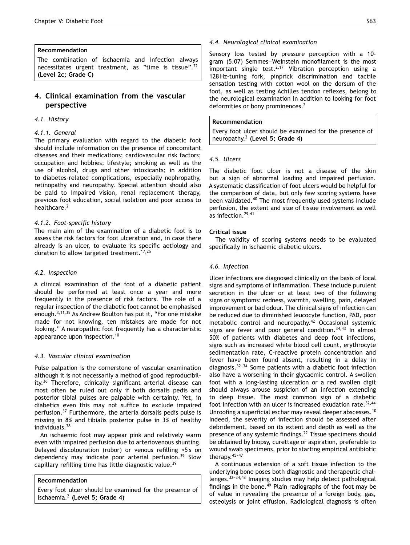# Recommendation

The combination of ischaemia and infection always necessitates urgent treatment, as "time is tissue".22 (Level 2c; Grade C)

# 4. Clinical examination from the vascular perspective

## 4.1. History

## 4.1.1. General

The primary evaluation with regard to the diabetic foot should include information on the presence of concomitant diseases and their medications; cardiovascular risk factors; occupation and hobbies; lifestyle; smoking as well as the use of alcohol, drugs and other intoxicants; in addition to diabetes-related complications, especially nephropathy, retinopathy and neuropathy. Special attention should also be paid to impaired vision, renal replacement therapy, previous foot education, social isolation and poor access to healthcare.<sup>2</sup>

# 4.1.2. Foot-specific history

The main aim of the examination of a diabetic foot is to assess the risk factors for foot ulceration and, in case there already is an ulcer, to evaluate its specific aetiology and duration to allow targeted treatment.<sup>17,25</sup>

# 4.2. Inspection

A clinical examination of the foot of a diabetic patient should be performed at least once a year and more frequently in the presence of risk factors. The role of a regular inspection of the diabetic foot cannot be emphasised enough.3,11,35 As Andrew Boulton has put it, "For one mistake made for not knowing, ten mistakes are made for not looking." A neuropathic foot frequently has a characteristic appearance upon inspection.<sup>10</sup>

#### 4.3. Vascular clinical examination

Pulse palpation is the cornerstone of vascular examination although it is not necessarily a method of good reproducibility.<sup>36</sup> Therefore, clinically significant arterial disease can most often be ruled out only if both dorsalis pedis and posterior tibial pulses are palpable with certainty. Yet, in diabetics even this may not suffice to exclude impaired perfusion.37 Furthermore, the arteria dorsalis pedis pulse is missing in 8% and tibialis posterior pulse in 3% of healthy individuals.38

An ischaemic foot may appear pink and relatively warm even with impaired perfusion due to arteriovenous shunting. Delayed discolouration (rubor) or venous refilling >5s on dependency may indicate poor arterial perfusion.<sup>39</sup> Slow capillary refilling time has little diagnostic value.<sup>39</sup>

#### Recommendation

Every foot ulcer should be examined for the presence of ischaemia.2 (Level 5; Grade 4)

# 4.4. Neurological clinical examination

Sensory loss tested by pressure perception with a 10 gram (5.07) Semmes––Weinstein monofilament is the most important single test.<sup>2,17</sup> Vibration perception using a 128 Hz-tuning fork, pinprick discrimination and tactile sensation testing with cotton wool on the dorsum of the foot, as well as testing Achilles tendon reflexes, belong to the neurological examination in addition to looking for foot deformities or bony prominences.<sup>2</sup>

# Recommendation

Every foot ulcer should be examined for the presence of neuropathy.2 (Level 5; Grade 4)

# 4.5. Ulcers

The diabetic foot ulcer is not a disease of the skin but a sign of abnormal loading and impaired perfusion. A systematic classification of foot ulcers would be helpful for the comparison of data, but only few scoring systems have been validated.<sup>40</sup> The most frequently used systems include perfusion, the extent and size of tissue involvement as well as infection.29,41

#### Critical issue

The validity of scoring systems needs to be evaluated specifically in ischaemic diabetic ulcers.

#### 4.6. Infection

Ulcer infections are diagnosed clinically on the basis of local signs and symptoms of inflammation. These include purulent secretion in the ulcer or at least two of the following signs or symptoms: redness, warmth, swelling, pain, delayed improvement or bad odour. The clinical signs of infection can be reduced due to diminished leucocyte function, PAD, poor metabolic control and neuropathy.<sup>42</sup> Occasional systemic signs are fever and poor general condition.  $34,43$  In almost 50% of patients with diabetes and deep foot infections, signs such as increased white blood cell count, erythrocyte sedimentation rate, C-reactive protein concentration and fever have been found absent, resulting in a delay in diagnosis. $32-34$  Some patients with a diabetic foot infection also have a worsening in their glycaemic control. A swollen foot with a long-lasting ulceration or a red swollen digit should always arouse suspicion of an infection extending to deep tissue. The most common sign of a diabetic foot infection with an ulcer is increased exudation rate. $32,44$ Unroofing a superficial eschar may reveal deeper abscesses.<sup>10</sup> Indeed, the severity of infection should be assessed after debridement, based on its extent and depth as well as the presence of any systemic findings.<sup>22</sup> Tissue specimens should be obtained by biopsy, curettage or aspiration, preferable to wound swab specimens, prior to starting empirical antibiotic therapy. $45-47$ 

A continuous extension of a soft tissue infection to the underlying bone poses both diagnostic and therapeutic challenges. $32-34,48$  Imaging studies may help detect pathological findings in the bone.<sup>49</sup> Plain radiographs of the foot may be of value in revealing the presence of a foreign body, gas, osteolysis or joint effusion. Radiological diagnosis is often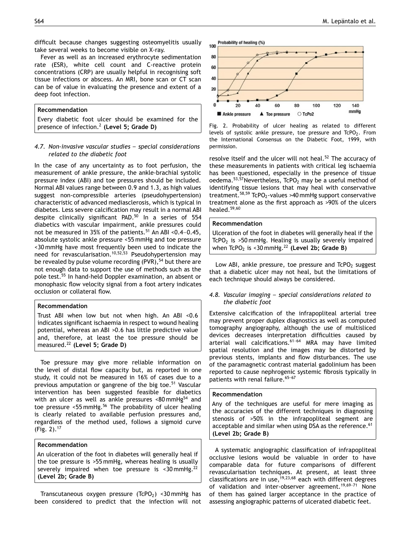difficult because changes suggesting osteomyelitis usually take several weeks to become visible on X-ray.

Fever as well as an increased erythrocyte sedimentation rate (ESR), white cell count and C-reactive protein concentrations (CRP) are usually helpful in recognising soft tissue infections or abscess. An MRI, bone scan or CT scan can be of value in evaluating the presence and extent of a deep foot infection.

## Recommendation

Every diabetic foot ulcer should be examined for the presence of infection.<sup>2</sup> (Level 5; Grade D)

#### 4.7. Non-invasive vascular studies - special considerations related to the diabetic foot

In the case of any uncertainty as to foot perfusion, the measurement of ankle pressure, the ankle-brachial systolic pressure index (ABI) and toe pressures should be included. Normal ABI values range between 0.9 and 1.3, as high values suggest non-compressible arteries (pseudohypertension) characteristic of advanced mediasclerosis, which is typical in diabetes. Less severe calcification may result in a normal ABI despite clinically significant PAD. $50$  In a series of 554 diabetics with vascular impairment, ankle pressures could not be measured in 35% of the patients.<sup>51</sup> An ABI <0.4–0.45, absolute systolic ankle pressure <55 mmHg and toe pressure <30 mmHg have most frequently been used to indicate the need for revascularisation.<sup>10,52,53</sup> Pseudohypertension may be revealed by pulse volume recording (PVR),  $54$  but there are not enough data to support the use of methods such as the pole test.55 In hand-held Doppler examination, an absent or monophasic flow velocity signal from a foot artery indicates occlusion or collateral flow.

#### Recommendation

Trust ABI when low but not when high. An ABI <0.6 indicates significant ischaemia in respect to wound healing potential, whereas an ABI >0.6 has little predictive value and, therefore, at least the toe pressure should be measured.<sup>22</sup> (Level 5; Grade D)

Toe pressure may give more reliable information on the level of distal flow capacity but, as reported in one study, it could not be measured in 16% of cases due to a previous amputation or gangrene of the big toe.<sup>51</sup> Vascular intervention has been suggested feasible for diabetics with an ulcer as well as ankle pressures  $\leq 80 \text{ mmHg}^{54}$  and toe pressure <55 mmHg.<sup>56</sup> The probability of ulcer healing is clearly related to available perfusion pressures and, regardless of the method used, follows a sigmoid curve (Fig. 2). $17$ 

#### Recommendation

An ulceration of the foot in diabetes will generally heal if the toe pressure is >55 mmHg, whereas healing is usually severely impaired when toe pressure is <30 mmHg.<sup>22</sup> (Level 2b; Grade B)

Transcutaneous oxygen pressure  $(TCPO<sub>2</sub>)$  <30 mmHg has been considered to predict that the infection will not



Fig. 2. Probability of ulcer healing as related to different levels of systolic ankle pressure, toe pressure and  $TePO<sub>2</sub>$ . From the International Consensus on the Diabetic Foot, 1999, with permission.

resolve itself and the ulcer will not heal.<sup>52</sup> The accuracv of these measurements in patients with critical leg ischaemia has been questioned, especially in the presence of tissue oedema. $53,57$ Nevertheless, TcPO<sub>2</sub> may be a useful method of identifying tissue lesions that may heal with conservative treatment.58,59 TcPO2-values >40 mmHg support conservative treatment alone as the first approach as >90% of the ulcers healed.59,60

#### Recommendation

Ulceration of the foot in diabetes will generally heal if the TcPO<sub>2</sub> is  $>50$  mmHg. Healing is usually severely impaired when  $TCPO<sub>2</sub>$  is <30 mmHg.<sup>22</sup> (Level 2b; Grade B)

Low ABI, ankle pressure, toe pressure and  $TePO<sub>2</sub>$  suggest that a diabetic ulcer may not heal, but the limitations of each technique should always be considered.

#### 4.8. Vascular imaging – special considerations related to the diabetic foot

Extensive calcification of the infrapopliteal arterial tree may prevent proper duplex diagnostics as well as computed tomography angiography, although the use of multisliced devices decreases interpretation difficulties caused by arterial wall calcifications. $61-64$  MRA may have limited spatial resolution and the images may be distorted by previous stents, implants and flow disturbances. The use of the paramagnetic contrast material gadolinium has been reported to cause nephrogenic systemic fibrosis typically in patients with renal failure. 65-67

#### Recommendation

Any of the techniques are useful for mere imaging as the accuracies of the different techniques in diagnosing stenosis of >50% in the infrapopliteal segment are acceptable and similar when using DSA as the reference.<sup>61</sup> (Level 2b; Grade B)

A systematic angiographic classification of infrapopliteal occlusive lesions would be valuable in order to have comparable data for future comparisons of different revascularisation techniques. At present, at least three classifications are in use,  $19,23,68$  each with different degrees of validation and inter-observer agreement.<sup>19,69–71</sup> None of them has gained larger acceptance in the practice of assessing angiographic patterns of ulcerated diabetic feet.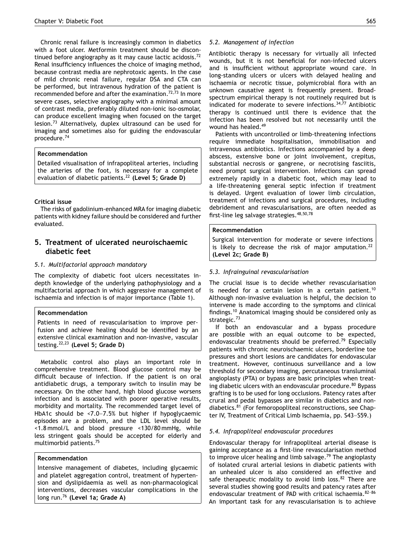Chronic renal failure is increasingly common in diabetics with a foot ulcer. Metformin treatment should be discontinued before angiography as it may cause lactic acidosis.<sup>72</sup> Renal insufficiency influences the choice of imaging method, because contrast media are nephrotoxic agents. In the case of mild chronic renal failure, regular DSA and CTA can be performed, but intravenous hydration of the patient is recommended before and after the examination.<sup>72,73</sup> In more severe cases, selective angiography with a minimal amount of contrast media, preferably diluted non-ionic iso-osmolar, can produce excellent imaging when focused on the target lesion.73 Alternatively, duplex ultrasound can be used for imaging and sometimes also for guiding the endovascular procedure.74

#### Recommendation

Detailed visualisation of infrapopliteal arteries, including the arteries of the foot, is necessary for a complete evaluation of diabetic patients.<sup>22</sup> (Level 5; Grade D)

#### Critical issue

The risks of gadolinium-enhanced MRA for imaging diabetic patients with kidney failure should be considered and further evaluated.

# 5. Treatment of ulcerated neuroischaemic diabetic feet

#### 5.1. Multifactorial approach mandatory

The complexity of diabetic foot ulcers necessitates indepth knowledge of the underlying pathophysiology and a multifactorial approach in which aggressive management of ischaemia and infection is of major importance (Table 1).

## Recommendation

Patients in need of revascularisation to improve perfusion and achieve healing should be identified by an extensive clinical examination and non-invasive, vascular testing.22,23 (Level 5; Grade D)

Metabolic control also plays an important role in comprehensive treatment. Blood glucose control may be difficult because of infection. If the patient is on oral antidiabetic drugs, a temporary switch to insulin may be necessary. On the other hand, high blood glucose worsens infection and is associated with poorer operative results, morbidity and mortality. The recommended target level of HbA1c should be  $\le 7.0 - 7.5\%$  but higher if hypoglycaemic episodes are a problem, and the LDL level should be <1.8 mmol/L and blood pressure <130/80 mmHg, while less stringent goals should be accepted for elderly and multimorbid patients.75

# Recommendation

Intensive management of diabetes, including glycaemic and platelet aggregation control, treatment of hypertension and dyslipidaemia as well as non-pharmacological interventions, decreases vascular complications in the long run.<sup>76</sup> (Level 1a; Grade A)

## 5.2. Management of infection

Antibiotic therapy is necessary for virtually all infected wounds, but it is not beneficial for non-infected ulcers and is insufficient without appropriate wound care. In long-standing ulcers or ulcers with delayed healing and ischaemia or necrotic tissue, polymicrobial flora with an unknown causative agent is frequently present. Broadspectrum empirical therapy is not routinely required but is indicated for moderate to severe infections.34,77 Antibiotic therapy is continued until there is evidence that the infection has been resolved but not necessarily until the wound has healed.<sup>49</sup>

Patients with uncontrolled or limb-threatening infections require immediate hospitalisation, immobilisation and intravenous antibiotics. Infections accompanied by a deep abscess, extensive bone or joint involvement, crepitus, substantial necrosis or gangrene, or necrotising fasciitis, need prompt surgical intervention. Infections can spread extremely rapidly in a diabetic foot, which may lead to a life-threatening general septic infection if treatment is delayed. Urgent evaluation of lower limb circulation, treatment of infections and surgical procedures, including debridement and revascularisations, are often needed as first-line leg salvage strategies.48,50,78

#### Recommendation

Surgical intervention for moderate or severe infections is likely to decrease the risk of major amputation.<sup>22</sup> (Level 2c; Grade B)

#### 5.3. Infrainguinal revascularisation

The crucial issue is to decide whether revascularisation is needed for a certain lesion in a certain patient.<sup>10</sup> Although non-invasive evaluation is helpful, the decision to intervene is made according to the symptoms and clinical findings.10 Anatomical imaging should be considered only as strategic.<sup>73</sup>

If both an endovascular and a bypass procedure are possible with an equal outcome to be expected, endovascular treatments should be preferred.<sup>79</sup> Especially patients with chronic neuroischaemic ulcers, borderline toe pressures and short lesions are candidates for endovascular treatment. However, continuous surveillance and a low threshold for secondary imaging, percutaneous transluminal angioplasty (PTA) or bypass are basic principles when treating diabetic ulcers with an endovascular procedure.<sup>80</sup> Bypass grafting is to be used for long occlusions. Patency rates after crural and pedal bypasses are similar in diabetics and nondiabetics.81 (For femoropopliteal reconstructions, see Chapter IV, Treatment of Critical Limb Ischaemia, pp. S43-S59.)

#### 5.4. Infrapopliteal endovascular procedures

Endovascular therapy for infrapopliteal arterial disease is gaining acceptance as a first-line revascularisation method to improve ulcer healing and limb salvage.<sup>79</sup> The angioplasty of isolated crural arterial lesions in diabetic patients with an unhealed ulcer is also considered an effective and safe therapeutic modality to avoid limb loss.<sup>82</sup> There are several studies showing good results and patency rates after endovascular treatment of PAD with critical ischaemia. $82-86$ An important task for any revascularisation is to achieve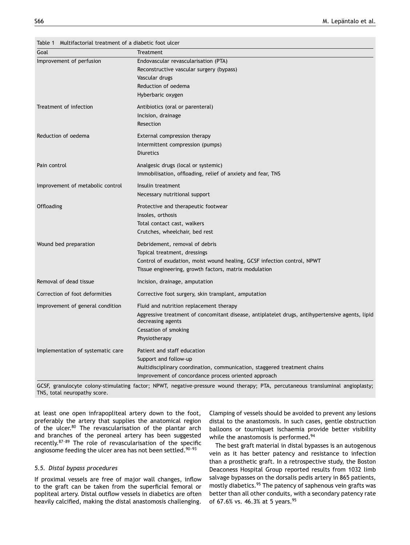| Goal                              | Treatment                                                                                                            |
|-----------------------------------|----------------------------------------------------------------------------------------------------------------------|
| Improvement of perfusion          | Endovascular revascularisation (PTA)                                                                                 |
|                                   | Reconstructive vascular surgery (bypass)                                                                             |
|                                   | Vascular drugs                                                                                                       |
|                                   | Reduction of oedema                                                                                                  |
|                                   | Hyberbaric oxygen                                                                                                    |
| Treatment of infection            | Antibiotics (oral or parenteral)                                                                                     |
|                                   | Incision, drainage                                                                                                   |
|                                   | Resection                                                                                                            |
| Reduction of oedema               | External compression therapy                                                                                         |
|                                   | Intermittent compression (pumps)                                                                                     |
|                                   | <b>Diuretics</b>                                                                                                     |
| Pain control                      | Analgesic drugs (local or systemic)                                                                                  |
|                                   | Immobilisation, offloading, relief of anxiety and fear, TNS                                                          |
| Improvement of metabolic control  | Insulin treatment                                                                                                    |
|                                   | Necessary nutritional support                                                                                        |
| Offloading                        | Protective and therapeutic footwear                                                                                  |
|                                   | Insoles, orthosis                                                                                                    |
|                                   | Total contact cast, walkers                                                                                          |
|                                   | Crutches, wheelchair, bed rest                                                                                       |
| Wound bed preparation             | Debridement, removal of debris                                                                                       |
|                                   | Topical treatment, dressings                                                                                         |
|                                   | Control of exudation, moist wound healing, GCSF infection control, NPWT                                              |
|                                   | Tissue engineering, growth factors, matrix modulation                                                                |
| Removal of dead tissue            | Incision, drainage, amputation                                                                                       |
| Correction of foot deformities    | Corrective foot surgery, skin transplant, amputation                                                                 |
| Improvement of general condition  | Fluid and nutrition replacement therapy                                                                              |
|                                   | Aggressive treatment of concomitant disease, antiplatelet drugs, antihypertensive agents, lipid<br>decreasing agents |
|                                   | Cessation of smoking                                                                                                 |
|                                   | Physiotherapy                                                                                                        |
| Implementation of systematic care | Patient and staff education                                                                                          |
|                                   | Support and follow-up                                                                                                |
|                                   | Multidisciplinary coordination, communication, staggered treatment chains                                            |
|                                   | Improvement of concordance process oriented approach                                                                 |

GCSF, granulocyte colony-stimulating factor; NPWT, negative-pressure wound therapy; PTA, percutaneous transluminal angioplasty; TNS, total neuropathy score.

at least one open infrapopliteal artery down to the foot, preferably the artery that supplies the anatomical region of the ulcer.<sup>80</sup> The revascularisation of the plantar arch and branches of the peroneal artery has been suggested recently. $87-89$  The role of revascularisation of the specific angiosome feeding the ulcer area has not been settled. $90-93$ 

# 5.5. Distal bypass procedures

If proximal vessels are free of major wall changes, inflow to the graft can be taken from the superficial femoral or popliteal artery. Distal outflow vessels in diabetics are often heavily calcified, making the distal anastomosis challenging.

Clamping of vessels should be avoided to prevent any lesions distal to the anastomosis. In such cases, gentle obstruction balloons or tourniquet ischaemia provide better visibility while the anastomosis is performed.<sup>94</sup>

The best graft material in distal bypasses is an autogenous vein as it has better patency and resistance to infection than a prosthetic graft. In a retrospective study, the Boston Deaconess Hospital Group reported results from 1032 limb salvage bypasses on the dorsalis pedis artery in 865 patients, mostly diabetics.<sup>95</sup> The patency of saphenous vein grafts was better than all other conduits, with a secondary patency rate of 67.6% vs. 46.3% at 5 years.<sup>95</sup>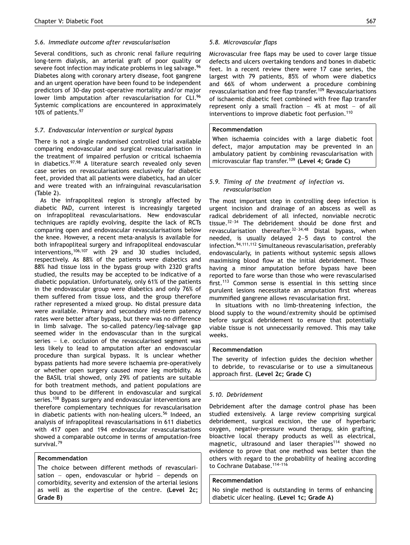# 5.6. Immediate outcome after revascularisation

Several conditions, such as chronic renal failure requiring long-term dialysis, an arterial graft of poor quality or severe foot infection may indicate problems in leg salvage.<sup>96</sup> Diabetes along with coronary artery disease, foot gangrene and an urgent operation have been found to be independent predictors of 30-day post-operative mortality and/or major lower limb amputation after revascularisation for CLI.<sup>96</sup> Systemic complications are encountered in approximately 10% of patients. 97

# 5.7. Endovascular intervention or surgical bypass

There is not a single randomised controlled trial available comparing endovascular and surgical revascularisation in the treatment of impaired perfusion or critical ischaemia in diabetics. $97,98$  A literature search revealed only seven case series on revascularisations exclusively for diabetic feet, provided that all patients were diabetics, had an ulcer and were treated with an infrainguinal revascularisation (Table 2).

As the infrapopliteal region is strongly affected by diabetic PAD, current interest is increasingly targeted on infrapopliteal revascularisations. New endovascular techniques are rapidly evolving, despite the lack of RCTs comparing open and endovascular revascularisations below the knee. However, a recent meta-analysis is available for both infrapopliteal surgery and infrapopliteal endovascular interventions,  $106,107$  with 29 and 30 studies included, respectively. As 88% of the patients were diabetics and 88% had tissue loss in the bypass group with 2320 grafts studied, the results may be accepted to be indicative of a diabetic population. Unfortunately, only 61% of the patients in the endovascular group were diabetics and only 76% of them suffered from tissue loss, and the group therefore rather represented a mixed group. No distal pressure data were available. Primary and secondary mid-term patency rates were better after bypass, but there was no difference in limb salvage. The so-called patency/leg-salvage gap seemed wider in the endovascular than in the surgical series – i.e. occlusion of the revascularised segment was less likely to lead to amputation after an endovascular procedure than surgical bypass. It is unclear whether bypass patients had more severe ischaemia pre-operatively or whether open surgery caused more leg morbidity. As the BASIL trial showed, only 29% of patients are suitable for both treatment methods, and patient populations are thus bound to be different in endovascular and surgical series.<sup>108</sup> Bypass surgery and endovascular interventions are therefore complementary techniques for revascularisation in diabetic patients with non-healing ulcers.<sup>56</sup> Indeed, an analysis of infrapopliteal revascularisations in 611 diabetics with 417 open and 194 endovascular revascularisations showed a comparable outcome in terms of amputation-free survival.<sup>79</sup>

# Recommendation

The choice between different methods of revascularisation – open, endovascular or hybrid – depends on comorbidity, severity and extension of the arterial lesions as well as the expertise of the centre. (Level 2c; Grade B)

# 5.8. Microvascular flaps

Microvascular free flaps may be used to cover large tissue defects and ulcers overtaking tendons and bones in diabetic feet. In a recent review there were 17 case series, the largest with 79 patients, 85% of whom were diabetics and 66% of whom underwent a procedure combining revascularisation and free flap transfer.<sup>109</sup> Revascularisations of ischaemic diabetic feet combined with free flap transfer represent only a small fraction  $-4\%$  at most  $-$  of all interventions to improve diabetic foot perfusion.<sup>110</sup>

# Recommendation

When ischaemia coincides with a large diabetic foot defect, major amputation may be prevented in an ambulatory patient by combining revascularisation with microvascular flap transfer.<sup>109</sup> (Level 4; Grade C)

#### 5.9. Timing of the treatment of infection vs. revascularisation

The most important step in controlling deep infection is urgent incision and drainage of an abscess as well as radical debridement of all infected, nonviable necrotic tissue. $32-34$  The debridement should be done first and revascularisation thereafter.  $32-34,48$  Distal bypass, when needed, is usually delayed 2-5 days to control the infection.94,111,112 Simultaneous revascularisation, preferably endovascularly, in patients without systemic sepsis allows maximising blood flow at the initial debridement. Those having a minor amputation before bypass have been reported to fare worse than those who were revascularised first.113 Common sense is essential in this setting since purulent lesions necessitate an amputation first whereas mummified gangrene allows revascularisation first.

In situations with no limb-threatening infection, the blood supply to the wound/extremity should be optimised before surgical debridement to ensure that potentially viable tissue is not unnecessarily removed. This may take weeks.

# Recommendation

The severity of infection guides the decision whether to debride, to revascularise or to use a simultaneous approach first. (Level 2c; Grade C)

# 5.10. Debridement

Debridement after the damage control phase has been studied extensively. A large review comprising surgical debridement, surgical excision, the use of hyperbaric oxygen, negative-pressure wound therapy, skin grafting, bioactive local therapy products as well as electrical, magnetic, ultrasound and laser therapies<sup>114</sup> showed no evidence to prove that one method was better than the others with regard to the probability of healing according to Cochrane Database.<sup>114-116</sup>

# Recommendation

No single method is outstanding in terms of enhancing diabetic ulcer healing. (Level 1c; Grade A)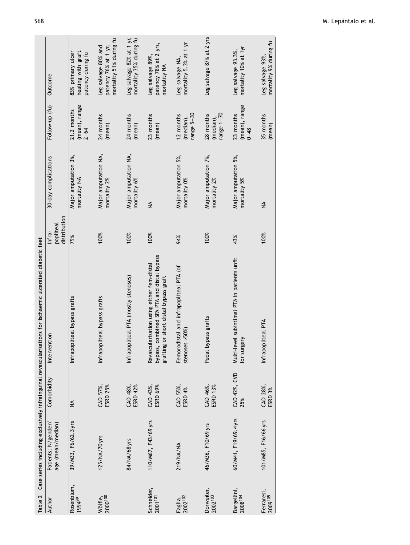| Table 2                           |                                          |                            | Case series including exclusively infrainguinal revascularisations for ischaemic ulcerated diabetic feet                         |                                     |                                      |                                          |                                                                        |
|-----------------------------------|------------------------------------------|----------------------------|----------------------------------------------------------------------------------------------------------------------------------|-------------------------------------|--------------------------------------|------------------------------------------|------------------------------------------------------------------------|
| Author                            | Patients; N/gender/<br>age (mean/median) | Comorbidity                | Intervention                                                                                                                     | distribution<br>popliteal<br>Infra- | 30-day complications                 | Follow-up (fu)                           | Outcome                                                                |
| Rosenblum,<br>199499              | 39/M33, F6/62.3 yrs                      | $\frac{4}{2}$              | Infrapopliteal bypass grafts                                                                                                     | 79%                                 | Major amputation 3%,<br>mortality NA | (mean), range<br>21.2 months<br>$2 - 64$ | healing with graft<br>83% primary ulcer<br>patency during fu           |
| Wölfle,<br>2000 <sup>100</sup>    | 125/NA/70 yrs                            | CAD 57%,<br>ESRD 25%       | Infrapopliteal bypass grafts                                                                                                     | 100%                                | Major amputation NA,<br>mortality 2% | 24 months<br>(mean)                      | mortality 51% during fu<br>Leg salvage 80% and<br>patency 76% at 1 yr, |
|                                   | 84/NA/68 yrs                             | ESRD 42%<br>CAD 48%,       | Infrapopliteal PTA (mostly stenoses)                                                                                             | 100%                                | Major amputation NA,<br>mortality 6% | 24 months<br>(mean)                      | mortality 35% during fu<br>Leg salvage 82% at 1 yr,                    |
| Schneider,<br>2001101             | 110/M67, F43/69 yrs                      | CAD 43%,<br>ESRD 69%       | bypass, combined SFA PTA and distal bypass<br>Revascularisation using either fem-distal<br>grafting or short distal bypass graft | 100%                                | ₹                                    | 23 months<br>(mean)                      | patency 78% at 2 yrs,<br>Leg salvage 89%,<br>mortality NA              |
| Faglia,<br>2002 <sup>102</sup>    | 219/NA/NA                                | CAD 55%,<br>ESRD 4%        | Femorodistal and infrapopliteal PTA (of<br>stenoses >50%                                                                         | 94%                                 | Major amputation 5%,<br>mortality 0% | range 5-30<br>12 months<br>(median),     | mortality 5.3% at 1 yr<br>Leg salvage NA,                              |
| Dorweiler,<br>2002103             | 46/M36, F10/69 yrs                       | ESRD 13%<br>CAD 46%,       | Pedal bypass grafts                                                                                                              | 100%                                | Major amputation 7%,<br>mortality 2% | range 1-70<br>28 months<br>(median),     | Leg salvage 87% at 2 yrs                                               |
| Bargellini,<br>$2008^{104}$       | 60/M41, F19/69.4 yrs                     | CAD 42%, CVD<br>25%        | Multi-level subintimal PTA in patients unfit<br>for surgery                                                                      | 43%                                 | Major amputation 5%,<br>mortality 5% | (mean), range<br>23 months<br>$0 - 48$   | mortality 10% at 1yr<br>Leg salvage 93.3%,                             |
| Ferraresi,<br>2009 <sup>105</sup> | 101/M85, F16/66 yrs                      | CAD 28%,<br><b>ESRD 3%</b> | Infrapopliteal PTA                                                                                                               | 100%                                | ₹                                    | 35 months<br>(mean)                      | mortality 9% during fu<br>Leg salvage 93%,                             |
|                                   |                                          |                            |                                                                                                                                  |                                     |                                      |                                          |                                                                        |

S68 M. Lepäntalo et al.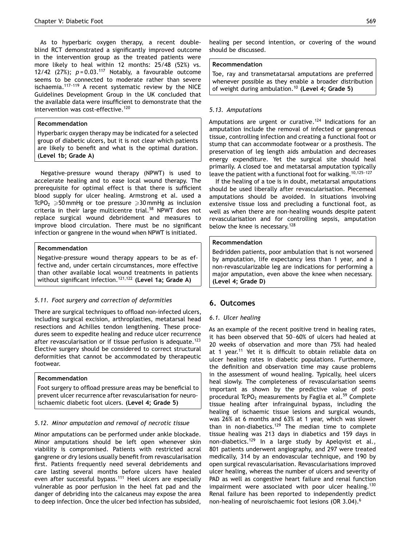As to hyperbaric oxygen therapy, a recent doubleblind RCT demonstrated a significantly improved outcome in the intervention group as the treated patients were more likely to heal within 12 months: 25/48 (52%) vs. 12/42 (27%);  $p = 0.03$ .<sup>117</sup> Notably, a favourable outcome seems to be connected to moderate rather than severe ischaemia. $117-119$  A recent systematic review by the NICE Guidelines Development Group in the UK concluded that the available data were insufficient to demonstrate that the intervention was cost-effective.<sup>120</sup>

#### Recommendation

Hyperbaric oxygen therapy may be indicated for a selected group of diabetic ulcers, but it is not clear which patients are likely to benefit and what is the optimal duration. (Level 1b; Grade A)

Negative-pressure wound therapy (NPWT) is used to accelerate healing and to ease local wound therapy. The prerequisite for optimal effect is that there is sufficient blood supply for ulcer healing. Armstrong et al. used a TcPO<sub>2</sub>  $\geq$ 50 mmHg or toe pressure  $\geq$ 30 mmHg as inclusion criteria in their large multicentre trial.<sup>58</sup> NPWT does not replace surgical wound debridement and measures to improve blood circulation. There must be no significant infection or gangrene in the wound when NPWT is initiated.

#### Recommendation

Negative-pressure wound therapy appears to be as effective and, under certain circumstances, more effective than other available local wound treatments in patients without significant infection.<sup>121,122</sup> (Level 1a; Grade A)

#### 5.11. Foot surgery and correction of deformities

There are surgical techniques to offload non-infected ulcers, including surgical excision, arthroplasties, metatarsal head resections and Achilles tendon lengthening. These procedures seem to expedite healing and reduce ulcer recurrence after revascularisation or if tissue perfusion is adequate.<sup>123</sup> Elective surgery should be considered to correct structural deformities that cannot be accommodated by therapeutic footwear.

#### Recommendation

Foot surgery to offload pressure areas may be beneficial to prevent ulcer recurrence after revascularisation for neuroischaemic diabetic foot ulcers. (Level 4; Grade 5)

#### 5.12. Minor amputation and removal of necrotic tissue

Minor amputations can be performed under ankle blockade. Minor amputations should be left open whenever skin viability is compromised. Patients with restricted acral gangrene or dry lesions usually benefit from revascularisation first. Patients frequently need several debridements and care lasting several months before ulcers have healed even after successful bypass.<sup>111</sup> Heel ulcers are especially vulnerable as poor perfusion in the heel fat pad and the danger of debriding into the calcaneus may expose the area to deep infection. Once the ulcer bed infection has subsided,

# Recommendation

Toe, ray and transmetatarsal amputations are preferred whenever possible as they enable a broader distribution of weight during ambulation.<sup>10</sup> (Level 4; Grade 5)

#### 5.13. Amputations

Amputations are urgent or curative.<sup>124</sup> Indications for an amputation include the removal of infected or gangrenous tissue, controlling infection and creating a functional foot or stump that can accommodate footwear or a prosthesis. The preservation of leg length aids ambulation and decreases energy expenditure. Yet the surgical site should heal primarily. A closed toe and metatarsal amputation typically leave the patient with a functional foot for walking.<sup>10,125-127</sup>

If the healing of a toe is in doubt, metatarsal amputations should be used liberally after revascularisation. Piecemeal amputations should be avoided. In situations involving extensive tissue loss and precluding a functional foot, as well as when there are non-healing wounds despite patent revascularisation and for controlling sepsis, amputation below the knee is necessary.<sup>128</sup>

#### Recommendation

Bedridden patients, poor ambulation that is not worsened by amputation, life expectancy less than 1 year, and a non-revascularizable leg are indications for performing a major amputation, even above the knee when necessary. (Level 4; Grade D)

# 6. Outcomes

# 6.1. Ulcer healing

As an example of the recent positive trend in healing rates, it has been observed that 50-60% of ulcers had healed at 20 weeks of observation and more than 75% had healed at 1 year.<sup>11</sup> Yet it is difficult to obtain reliable data on ulcer healing rates in diabetic populations. Furthermore, the definition and observation time may cause problems in the assessment of wound healing. Typically, heel ulcers heal slowly. The completeness of revascularisation seems important as shown by the predictive value of postprocedural  $TePO<sub>2</sub>$  measurements by Faglia et al.<sup>59</sup> Complete tissue healing after infrainguinal bypass, including the healing of ischaemic tissue lesions and surgical wounds, was 26% at 6 months and 63% at 1 year, which was slower than in non-diabetics.<sup>129</sup> The median time to complete tissue healing was 213 days in diabetics and 159 days in non-diabetics.129 In a large study by Apelqvist et al., 801 patients underwent angiography, and 297 were treated medically, 314 by an endovascular technique, and 190 by open surgical revascularisation. Revascularisations improved ulcer healing, whereas the number of ulcers and severity of PAD as well as congestive heart failure and renal function impairment were associated with poor ulcer healing.<sup>130</sup> Renal failure has been reported to independently predict non-healing of neuroischaemic foot lesions (OR 3.04).<sup>6</sup>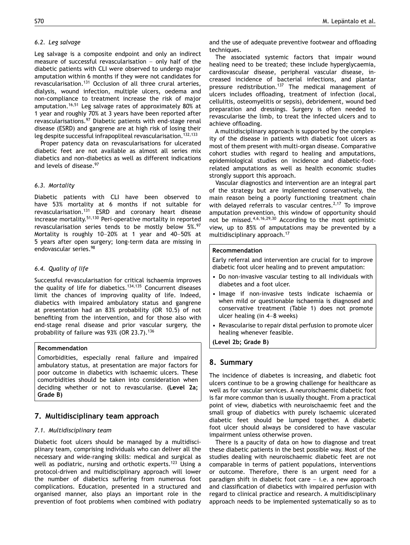## 6.2. Leg salvage

Leg salvage is a composite endpoint and only an indirect measure of successful revascularisation  $-$  only half of the diabetic patients with CLI were observed to undergo major amputation within 6 months if they were not candidates for revascularisation.131 Occlusion of all three crural arteries, dialysis, wound infection, multiple ulcers, oedema and non-compliance to treatment increase the risk of major amputation.16,51 Leg salvage rates of approximately 80% at 1 year and roughly 70% at 3 years have been reported after revascularisations.<sup>97</sup> Diabetic patients with end-stage renal disease (ESRD) and gangrene are at high risk of losing their leg despite successful infrapopliteal revascularisation.<sup>132,133</sup>

Proper patency data on revascularisations for ulcerated diabetic feet are not available as almost all series mix diabetics and non-diabetics as well as different indications and levels of disease.<sup>97</sup>

#### 6.3. Mortality

Diabetic patients with CLI have been observed to have 53% mortality at 6 months if not suitable for revascularisation.131 ESRD and coronary heart disease increase mortality.51,130 Peri-operative mortality in reported revascularisation series tends to be mostly below 5%.<sup>97</sup> Mortality is roughly  $10-20\%$  at 1 year and  $40-50\%$  at 5 years after open surgery; long-term data are missing in endovascular series.98

#### 6.4. Quality of life

Successful revascularisation for critical ischaemia improves the quality of life for diabetics.<sup>134,135</sup> Concurrent diseases limit the chances of improving quality of life. Indeed, diabetics with impaired ambulatory status and gangrene at presentation had an 83% probability (OR 10.5) of not benefiting from the intervention, and for those also with end-stage renal disease and prior vascular surgery, the probability of failure was 93% (OR 23.7).136

## Recommendation

Comorbidities, especially renal failure and impaired ambulatory status, at presentation are major factors for poor outcome in diabetics with ischaemic ulcers. These comorbidities should be taken into consideration when deciding whether or not to revascularise. (Level 2a; Grade B)

# 7. Multidisciplinary team approach

## 7.1. Multidisciplinary team

Diabetic foot ulcers should be managed by a multidisciplinary team, comprising individuals who can deliver all the necessary and wide-ranging skills: medical and surgical as well as podiatric, nursing and orthotic experts.<sup>123</sup> Using a protocol-driven and multidisciplinary approach will lower the number of diabetics suffering from numerous foot complications. Education, presented in a structured and organised manner, also plays an important role in the prevention of foot problems when combined with podiatry

and the use of adequate preventive footwear and offloading techniques.

The associated systemic factors that impair wound healing need to be treated; these include hyperglycaemia, cardiovascular disease, peripheral vascular disease, increased incidence of bacterial infections, and plantar pressure redistribution.<sup>137</sup> The medical management of ulcers includes offloading, treatment of infection (local, cellulitis, osteomyelitis or sepsis), debridement, wound bed preparation and dressings. Surgery is often needed to revascularise the limb, to treat the infected ulcers and to achieve offloading.

A multidisciplinary approach is supported by the complexity of the disease in patients with diabetic foot ulcers as most of them present with multi-organ disease. Comparative cohort studies with regard to healing and amputations, epidemiological studies on incidence and diabetic-footrelated amputations as well as health economic studies strongly support this approach.

Vascular diagnostics and intervention are an integral part of the strategy but are implemented conservatively, the main reason being a poorly functioning treatment chain with delayed referrals to vascular centres.<sup>2,17</sup> To improve amputation prevention, this window of opportunity should not be missed.4,6,16,29,30 According to the most optimistic view, up to 85% of amputations may be prevented by a multidisciplinary approach.<sup>17</sup>

#### Recommendation

Early referral and intervention are crucial for to improve diabetic foot ulcer healing and to prevent amputation:

- Do non-invasive vascular testing to all individuals with diabetes and a foot ulcer.
- Image if non-invasive tests indicate ischaemia or when mild or questionable ischaemia is diagnosed and conservative treatment (Table 1) does not promote ulcer healing (in  $4-8$  weeks)
- Revascularise to repair distal perfusion to promote ulcer healing whenever feasible.

(Level 2b; Grade B)

# 8. Summary

The incidence of diabetes is increasing, and diabetic foot ulcers continue to be a growing challenge for healthcare as well as for vascular services. A neuroischaemic diabetic foot is far more common than is usually thought. From a practical point of view, diabetics with neuroischaemic feet and the small group of diabetics with purely ischaemic ulcerated diabetic feet should be lumped together. A diabetic foot ulcer should always be considered to have vascular impairment unless otherwise proven.

There is a paucity of data on how to diagnose and treat these diabetic patients in the best possible way. Most of the studies dealing with neuroischaemic diabetic feet are not comparable in terms of patient populations, interventions or outcome. Therefore, there is an urgent need for a paradigm shift in diabetic foot care  $-$  i.e. a new approach and classification of diabetics with impaired perfusion with regard to clinical practice and research. A multidisciplinary approach needs to be implemented systematically so as to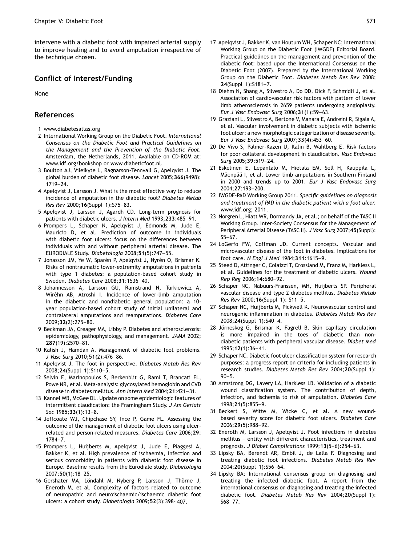intervene with a diabetic foot with impaired arterial supply to improve healing and to avoid amputation irrespective of the technique chosen.

# Conflict of Interest/Funding

None

# References

- 1 www.diabetesatlas.org
- 2 International Working Group on the Diabetic Foot. International Consensus on the Diabetic Foot and Practical Guidelines on the Management and the Prevention of the Diabetic Foot. Amsterdam, the Netherlands, 2011. Available on CD-ROM at: www.idf.org/bookshop or www.diabeticfoot.nl.
- 3 Boulton AJ, Vileikyte L, Ragnarson-Tennvall G, Apelqvist J. The global burden of diabetic foot disease. Lancet 2005;366(9498):  $1719 - 24.$
- 4 Apelqvist J, Larsson J. What is the most effective way to reduce incidence of amputation in the diabetic foot? Diabetes Metab Res Rev 2000;16(Suppl 1):S75-83.
- 5 Apelqvist J, Larsson J, Agardh CD. Long-term prognosis for patients with diabetic ulcers. J Intern Med 1993;233:485-91.
- 6 Prompers L, Schaper N, Apelqvist J, Edmonds M, Jude E, Mauricio D, et al. Prediction of outcome in individuals with diabetic foot ulcers: focus on the differences between individuals with and without peripheral arterial disease. The EURODIALE Study. Diabetologia 2008;51(5):747-55.
- 7 Jonasson JM, Ye W, Sparén P, Apelqvist J, Nyrén O, Brismar K. Risks of nontraumatic lower-extremity amputations in patients with type 1 diabetes: a population-based cohort study in Sweden. Diabetes Care 2008;31:1536-40.
- 8 Johannesson A, Larsson GU, Ramstrand N, Turkiewicz A, Wiréhn AB, Atroshi I. Incidence of lower-limb amputation in the diabetic and nondiabetic general population: a 10 year population-based cohort study of initial unilateral and contralateral amputations and reamputations. Diabetes Care 2009;32(2):275––80.
- 9 Beckman JA, Creager MA, Libby P. Diabetes and atherosclerosis: epidemiology, pathophysiology, and management. JAMA 2002; 287(19):2570––81.
- 10 Kalish J, Hamdan A. Management of diabetic foot problems. J Vasc Surg 2010;51(2):476-86.
- 11 Apelqvist J. The foot in perspective. Diabetes Metab Res Rev 2008;24(Suppl 1):S110-5.
- 12 Selvin E, Marinopoulos S, Berkenblit G, Rami T, Brancati FL, Powe NR, et al. Meta-analysis: glycosylated hemoglobin and CVD disease in diabetes mellitus. Ann Intern Med 2004; 21: 421 - 31.
- 13 Kannel WB, McGee DL. Update on some epidemiologic features of intermittent claudication: the Framingham Study. J Am Geriatr Soc  $1985;33(1):13-8$ .
- 14 Jeffcoate WJ, Chipchase SY, Ince P, Game FL. Assessing the outcome of the management of diabetic foot ulcers using ulcerrelated and person-related measures. Diabetes Care 2006;29: 1784––7.
- 15 Prompers L, Huijberts M, Apelqvist J, Jude E, Piaggesi A, Bakker K, et al. High prevalence of ischaemia, infection and serious comorbidity in patients with diabetic foot disease in Europe. Baseline results from the Eurodiale study. Diabetologia  $2007;50(1):18-25.$
- 16 Gershater MA, Löndahl M, Nyberg P, Larsson J, Thörne J, Eneroth M, et al. Complexity of factors related to outcome of neuropathic and neuroischaemic/ischaemic diabetic foot ulcers: a cohort study. Diabetologia 2009;52(3):398-407.
- 17 Apelqvist J, Bakker K, van Houtum WH, Schaper NC; International Working Group on the Diabetic Foot (IWGDF) Editorial Board. Practical guidelines on the management and prevention of the diabetic foot: based upon the International Consensus on the Diabetic Foot (2007). Prepared by the International Working Group on the Diabetic Foot. Diabetes Metab Res Rev 2008; 24(Suppl 1):S181––7.
- 18 Diehm N, Shang A, Silvestro A, Do DD, Dick F, Schmidli J, et al. Association of cardiovascular risk factors with pattern of lower limb atherosclerosis in 2659 patients undergoing angioplasty. Eur J Vasc Endovasc Surg 2006;31(1):59-63.
- 19 Graziani L, Silvestro A, Bertone V, Manara E, Andreini R, Sigala A, et al. Vascular involvement in diabetic subjects with ischemic foot ulcer: a new morphologic categorization of disease severity. Eur J Vasc Endovasc Surg 2007;33(4):453-60.
- 20 De Vivo S, Palmer-Kazen U, Kalin B, Wahlberg E. Risk factors for poor collateral development in claudication. Vasc Endovasc Surg 2005;39:519-24.
- 21 Eskelinen E, Lepäntalo M, Hietala EM, Sell H, Kauppila L, Mäenpää I, et al. Lower limb amputations in Southern Finland in 2000 and trends up to 2001. Eur J Vasc Endovasc Surg 2004;27:193––200.
- 22 IWGDF-PAD Working Group 2011. Specific guidelines on diagnosis and treatment of PAD in the diabetic patient with a foot ulcer. www.idf.org; 2011.
- 23 Norgren L, Hiatt WR, Dormandy JA, et al.; on behalf of the TASC II Working Group. Inter-Society Consensus for the Management of Peripheral Arterial Disease (TASC II). J Vasc Surg 2007;45(Suppl):  $S5-67.$
- 24 LoGerfo FW, Coffman JD. Current concepts. Vascular and microvascular disease of the foot in diabetes. Implications for foot care. N Engl J Med 1984;311:1615-9.
- 25 Steed D, Attinger C, Colaizzi T, Crossland M, Franz M, Harkless L, et al. Guidelines for the treatment of diabetic ulcers. Wound Rep Reg 2006;14:680-92.
- 26 Schaper NC, Nabuurs-Franssen, MH, Huijberts SP. Peripheral vascular disease and type 2 diabetes mellitus. Diabetes Metab Res Rev 2000;16(Suppl 1): S11––5.
- 27 Schaper NC, Huijberts M, Pickwell K. Neurovascular control and neurogenic inflammation in diabetes. Diabetes Metab Res Rev 2008;24(Suppl 1):S40-4.
- 28 Jörneskog G, Brismar K, Fagrell B. Skin capillary circulation is more impaired in the toes of diabetic than nondiabetic patients with peripheral vascular disease. Diabet Med 1995;12(1):36-41.
- 29 Schaper NC. Diabetic foot ulcer classification system for research purposes: a progress report on criteria for including patients in research studies. Diabetes Metab Res Rev 2004;20(Suppl 1):  $90 - 5$ .
- 30 Armstrong DG, Lavery LA, Harkless LB. Validation of a diabetic wound classification system. The contribution of depth, infection, and ischemia to risk of amputation. Diabetes Care 1998;21(5):855––9.
- 31 Beckert S, Witte M, Wicke C, et al. A new woundbased severity score for diabetic foot ulcers. Diabetes Care 2006;29(5):988––92.
- 32 Eneroth M, Larsson J, Apelqvist J. Foot infections in diabetes mellitus –– entity with different characteristics, treatment and prognosis. J Diabet Complications 1999;13(5-6):254-63.
- 33 Lipsky BA, Berendt AR, Embil J, de Lalla F. Diagnosing and treating diabetic foot infections. Diabetes Metab Res Rev 2004;20(Suppl 1):S56-64.
- 34 Lipsky BA; International consensus group on diagnosing and treating the infected diabetic foot. A report from the international consensus on diagnosing and treating the infected diabetic foot. Diabetes Metab Res Rev 2004;20(Suppl 1):  $S68 - 77.$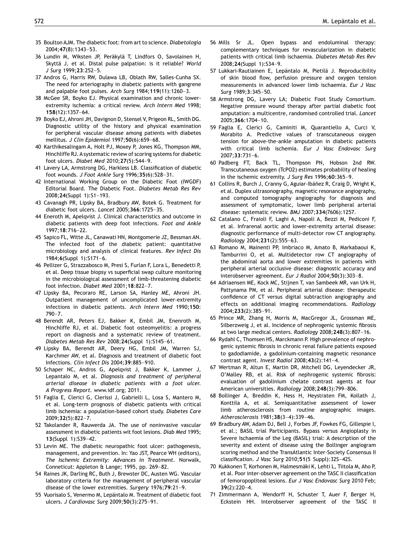- 35 Boulton AJM. The diabetic foot: from art to science. Diabetologia 2004;47(8):1343––53.
- 36 Lundin M, Wiksten JP, Peräkylä T, Lindfors O, Savolainen H, Skyttä J, et al. Distal pulse palpation: is it reliable? World J Surg 1999;23:252––5.
- 37 Andros G, Harris RW, Dulawa LB, Oblath RW, Salles-Cunha SX. The need for arteriography in diabetic patients with gangrene and palpable foot pulses. Arch Surg 1984;119(11):1260-3.
- 38 McGee SR, Boyko EJ. Physical examination and chronic lowerextremity ischemia: a critical review. Arch Intern Med 1998; 158(12):1357––64.
- 39 Boyko EJ, Ahroni JH, Davignon D, Stensel V, Prigeon RL, Smith DG. Diagnostic utility of the history and physical examination for peripheral vascular disease among patients with diabetes mellitus. J Clin Epidemiol 1997;50(6):659-68.
- 40 Karthikesalingam A, Holt PJ, Moxey P, Jones KG, Thompson MM, Hinchliffe RJ. A systematic review of scoring systems for diabetic foot ulcers. Diabet Med 2010; 27(5): 544-9.
- 41 Lavery LA, Armstrong DG, Harkless LB. Classification of diabetic foot wounds. J Foot Ankle Surg 1996;35(6):528-31.
- 42 International Working Group on the Diabetic Foot (IWGDF) Editorial Board. The Diabetic Foot. Diabetes Metab Res Rev 2008;24(Suppl 1):S1-193.
- 43 Cavanagh PR, Lipsky BA, Bradbury AW, Botek G. Treatment for diabetic foot ulcers. Lancet 2005;366:1725-35.
- 44 Eneroth M, Apelqvist J. Clinical characteristics and outcome in diabetic patients with deep foot infections. Foot and Ankle 1997;18:716––22.
- 45 Sapico FL, Witte JL, Canawati HN, Montgomerie JZ, Bessman AN. The infected foot of the diabetic patient: quantitative microbiology and analysis of clinical features. Rev Infect Dis 1984;6(Suppl 1):S171-6.
- 46 Pellizer G, Strazzabosco M, Presi S, Furlan F, Lora L, Benedetti P, et al. Deep tissue biopsy vs superficial swap culture monitoring in the microbiological assessment of limb-threatening diabetic foot infection. Diabet Med 2001;18:822-7.
- 47 Lipsky BA, Pecoraro RE, Larson SA, Hanley ME, Ahroni JH. Outpatient management of uncomplicated lower-extremity infections in diabetic patients. Arch Intern Med 1990;150: 790––7.
- 48 Berendt AR, Peters EJ, Bakker K, Embil JM, Enenroth M, Hinchliffe RJ, et al. Diabetic foot osteomyelitis: a progress report on diagnosis and a systematic review of treatment. Diabetes Metab Res Rev 2008;24(Suppl 1):S145-61.
- 49 Lipsky BA, Berendt AR, Deery HG, Embil JM, Warren SJ, Karchmer AW, et al. Diagnosis and treatment of diabetic foot Infections. Clin Infect Dis 2004;39:885––910.
- 50 Schaper NC, Andros G, Apelqvist J, Bakker K, Lammer J, Lepantalo M, et al. Diagnosis and treatment of peripheral arterial disease in diabetic patients with a foot ulcer. A Progress Report. www.idf.org; 2011.
- 51 Faglia E, Clerici G, Clerissi J, Gabrielli L, Losa S, Mantero M, et al. Long-term prognosis of diabetic patients with critical limb ischemia: a population-based cohort study. Diabetes Care 2009;32(5):822––7.
- 52 Takolander R, Rauwerda JA. The use of noninvasive vascular assessment in diabetic patients wit foot lesions. Diab Med 1995; 13(Suppl 1):S39-42.
- 53 Levin ME. The diabetic neuropathic foot ulcer: pathogenesis, management, and prevention. In: Yao JST, Pearce WH (editors), The Ischemic Extremity: Advances in Treatment. Norwalk, Conneticut: Appleton & Lange; 1995, pp. 269-82.
- 54 Raines JK, Darling RC, Buth J, Brewster DC, Austen WG. Vascular laboratory criteria for the management of peripheral vascular disease of the lower extremities. Surgery 1976;79:21-9.
- 55 Vuorisalo S, Venermo M, Lepäntalo M. Treatment of diabetic foot ulcers. J Cardiovasc Surg 2009;50(3):275-91.
- 56 Mills Sr JL. Open bypass and endoluminal therapy: complementary techniques for revascularization in diabetic patients with critical limb ischaemia. Diabetes Metab Res Rev 2008;24(Suppl 1):S34-9.
- 57 Lukkari-Rautiainen E, Lepäntalo M, Pietilä J. Reproducibility of skin blood flow, perfusion pressure and oxygen tension measurements in advanced lower limb ischaemia. Eur J Vasc Surg 1989; 3:345-50.
- 58 Armstrong DG, Lavery LA; Diabetic Foot Study Consortium. Negative pressure wound therapy after partial diabetic foot amputation: a multicentre, randomised controlled trial. Lancet 2005;366:1704––10.
- 59 Faglia E, Clerici G, Caminiti M, Quarantiello A, Curci V, Morabito A. Predictive values of transcutaneous oxygen tension for above-the-ankle amputation in diabetic patients with critical limb ischemia. Eur J Vasc Endovasc Surg 2007;33:731––6.
- 60 Padberg FT, Back TL, Thompson PN, Hobson 2nd RW. Transcutaneous oxygen (TcPO2) estimates probability of healing in the ischemic extremity. J Surg Res 1996;60:365-9.
- 61 Collins R, Burch J, Cranny G, Aguiar-Ibáñez R, Craig D, Wright K, et al. Duplex ultrasonography, magnetic resonance angiography, and computed tomography angiography for diagnosis and assessment of symptomatic, lower limb peripheral arterial disease: systematic review. BMJ 2007;334(7606):1257.
- 62 Catalano C, Fraioli F, Laghi A, Napoli A, Bezzi M, Pediconi F, et al. Infrarenal aortic and lower-extremity arterial disease: diagnostic performance of multi-detector row CT angiography. Radiology 2004;231(2):555––63.
- 63 Romano M, Mainenti PP, Imbriaco M, Amato B, Markabaoui K, Tamburrini O, et al. Multidetector row CT angiography of the abdominal aorta and lower extremities in patients with peripheral arterial occlusive disease: diagnostic accuracy and interobserver agreement. Eur J Radiol 2004;50(3):303-8.
- 64 Adriaensen ME, Kock MC, Stijnen T, van Sambeek MR, van Urk H, Pattynama PM, et al. Peripheral arterial disease: therapeutic confidence of CT versus digital subtraction angiography and effects on additional imaging recommendations. Radiology 2004;233(2):385––91.
- 65 Prince MR, Zhang H, Morris M, MacGregor JL, Grossman ME, Silberzweig J, et al. Incidence of nephrogenic systemic fibrosis at two large medical centers. Radiology 2008;248(3):807-16.
- 66 Rydahl C, Thomsen HS, Marckmann P. High prevalence of nephrogenic systemic fibrosis in chronic renal failure patients exposed to gadodiamide, a gadolinium-containing magnetic resonance contrast agent. Invest Radiol 2008;43(2):141-4.
- 67 Wertman R, Altun E, Martin DR, Mitchell DG, Leyendecker JR, O'Malley RB, et al. Risk of nephrogenic systemic fibrosis: evaluation of gadolinium chelate contrast agents at four American universities. Radiology 2008;248(3):799-806.
- 68 Bollinger A, Breddin K, Hess H, Heystraten FM, Kollath J, Konttila A, et al. Semiquantitative assessment of lower limb atherosclerosis from routine angiographic images. Atherosclerosis 1981;38(3-4):339-46.
- 69 Bradbury AW, Adam DJ, Bell J, Forbes JF, Fowkes FG, Gillespie I, et al.; BASIL trial Participants. Bypass versus Angioplasty in Severe Ischaemia of the Leg (BASIL) trial: A description of the severity and extent of disease using the Bollinger angiogram scoring method and the TransAtlantic Inter-Society Consensus II classification. J Vasc Surg 2010;51(5 Suppl):32S-42S.
- 70 Kukkonen T, Korhonen M, Halmesmäki K, Lehti L, Tiitola M, Aho P, et al. Poor inter-observer agreement on the TASC II classification of femoropopliteal lesions. Eur J Vasc Endovasc Surg 2010 Feb;  $39(2):220-4.$
- 71 Zimmermann A, Wendorff H, Schuster T, Auer F, Berger H, Eckstein HH. Interobserver agreement of the TASC II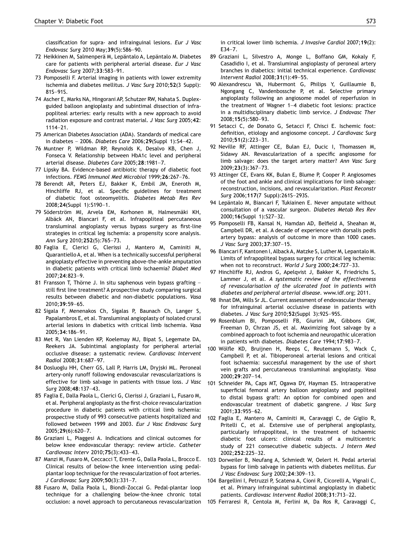classification for supra- and infrainguinal lesions. Eur J Vasc Endovasc Surg 2010 May;39(5):586––90.

- 72 Heikkinen M, Salmenperä M, Lepäntalo A, Lepäntalo M. Diabetes care for patients with peripheral arterial disease. Eur J Vasc Endovasc Surg 2007;33:583––91.
- 73 Pomposelli F. Arterial imaging in patients with lower extremity ischemia and diabetes mellitus. J Vasc Surg 2010;52(3 Suppl):  $81S - 91S$ .
- 74 Ascher E, Marks NA, Hingorani AP, Schutzer RW, Nahata S. Duplexguided balloon angioplasty and subintimal dissection of infrapopliteal arteries: early results with a new approach to avoid radiation exposure and contrast material. J Vasc Surg 2005;42:  $1114 - 21.$
- 75 American Diabetes Association (ADA). Standards of medical care in diabetes – 2006. Diabetes Care 2006;  $29$ (Suppl 1):  $54-42$ .
- 76 Muntner P, Wildman RP, Reynolds K, Desalvo KB, Chen J, Fonseca V. Relationship between HbA1c level and peripheral arterial disease. Diabetes Care 2005;28:1981––7.
- 77 Lipsky BA. Evidence-based antibiotic therapy of diabetic foot infections. FEMS Immunol Med Microbiol 1999;26:267-76.
- 78 Berendt AR, Peters EJ, Bakker K, Embil JM, Eneroth M, Hinchliffe RJ, et al. Specific guidelines for treatment of diabetic foot osteomyelitis. Diabetes Metab Res Rev 2008;24(Suppl 1):S190-1.
- 79 Söderström MI, Arvela EM, Korhonen M, Halmesmäki KH, Albäck AN, Biancari F, et al. Infrapopliteal percutaneous transluminal angioplasty versus bypass surgery as first-line strategies in critical leg ischemia: a propensity score analysis. Ann Surg 2010;252(5):765––73.
- 80 Faglia E, Clerici G, Clerissi J, Mantero M, Caminiti M, Quarantiello A, et al. When is a technically successful peripheral angioplasty effective in preventing above-the-ankle amputation in diabetic patients with critical limb ischaemia? Diabet Med 2007;24:823––9.
- 81 Fransson T, Thörne J. In situ saphenous vein bypass grafting  $$ still first line treatment? A prospective study comparing surgical results between diabetic and non-diabetic populations. Vasa 2010;39:59––65.
- 82 Sigala F, Menenakos Ch, Sigalas P, Baunach Ch, Langer S, Papalambros E, et al. Transluminal angioplasty of isolated crural arterial lesions in diabetics with critical limb ischemia. Vasa 2005;34:186––91.
- 83 Met R, Van Lienden KP, Koelemay MJ, Bipat S, Legemate DA, Reekers JA. Subintimal angioplasty for peripheral arterial occlusive disease: a systematic review. Cardiovasc Intervent Radiol 2008;31:687-97.
- 84 Dosluoglu HH, Cherr GS, Lall P, Harris LM, Dryjski ML. Peroneal artery-only runoff following endovascular revascularizations is effective for limb salvage in patients with tissue loss. J Vasc Surg 2008;48:137-43.
- 85 Faglia E, Dalla Paola L, Clerici G, Clerissi J, Graziani L, Fusaro M, et al. Peripheral angioplasty as the first-choice revascularization procedure in diabetic patients with critical limb ischemia: prospective study of 993 consecutive patients hospitalized and followed between 1999 and 2003. Eur J Vasc Endovasc Surg 2005;29(6):620––7.
- 86 Graziani L, Piaggesi A. Indications and clinical outcomes for below knee endovascular therapy: review article. Catheter Cardiovasc Interv 2010;75(3):433––43.
- 87 Manzi M, Fusaro M, Ceccacci T, Erente G, Dalla Paola L, Brocco E. Clinical results of below-the knee intervention using pedalplantar loop technique for the revascularization of foot arteries. J Cardiovasc Surg 2009;50(3):331––7.
- 88 Fusaro M, Dalla Paola L, Biondi-Zoccai G. Pedal-plantar loop technique for a challenging below-the-knee chronic total occlusion: a novel approach to percutaneous revascularization

in critical lower limb ischemia. J Invasive Cardiol 2007;19(2):  $F34-7.$ 

- 89 Graziani L, Silvestro A, Monge L, Boffano GM, Kokaly F, Casadidio I, et al. Transluminal angioplasty of peroneal artery branches in diabetics: initial technical experience. Cardiovasc Intervent Radiol 2008;31(1):49––55.
- 90 Alexandrescu VA, Hubermont G, Philips Y, Guillaumie B, Ngongang C, Vandenbossche P, et al. Selective primary angioplasty following an angiosome model of reperfusion in the treatment of Wagner  $1-4$  diabetic foot lesions: practice in a multidisciplinary diabetic limb service. J Endovasc Ther  $2008;15(5):580-93.$
- 91 Setacci C, de Donato G, Setacci F, Chisci E. Ischemic foot: definition, etiology and angiosome concept. J Cardiovasc Surg 2010;51(2):223––31.
- 92 Neville RF, Attinger CE, Bulan EJ, Ducic I, Thomassen M, Sidawy AN. Revascularization of a specific angiosome for limb salvage: does the target artery matter? Ann Vasc Surg 2009;23(3):367––73.
- 93 Attinger CE, Evans KK, Bulan E, Blume P, Cooper P. Angiosomes of the foot and ankle and clinical implications for limb salvage: reconstruction, incisions, and revascularization. Plast Reconstr Surg 2006;117(7 Suppl):2615-293S.
- 94 Lepäntalo M, Biancari F, Tukiainen E. Never amputate without consultation of a vascular surgeon. Diabetes Metab Res Rev 2000;16(Suppl 1):S27-32.
- 95 Pomposelli FB, Kansal N, Hamdan AD, Belfield A, Sheahan M, Campbell DR, et al. A decade of experience with dorsalis pedis artery bypass: analysis of outcome in more than 1000 cases. J Vasc Surg 2003;37:307-15.
- 96 Biancari F, Kantonen I, Alback A, Matzke S, Luther M, Lepantalo M. Limits of infrapopliteal bypass surgery for critical leg ischemia: when not to reconstruct. World J Surg 2000;24:727-33.
- 97 Hinchliffe RJ, Andros G, Apelqvist J, Bakker K, Friedrichs S, Lammer J, et al. A systematic review of the effectiveness of revascularisation of the ulcerated foot in patients with diabetes and peripheral arterial disease. www.idf.org; 2011.
- 98 Ihnat DM, Mills Sr JL. Current assessment of endovascular therapy for infrainguinal arterial occlusive disease in patients with diabetes. J Vasc Surg 2010;52(Suppl 3):92S-95S.
- 99 Rosenblum BI, Pomposelli FB, Giurini JM, Gibbons GW, Freeman D, Chrzan JS, et al. Maximizing foot salvage by a combined approach to foot ischemia and neuropathic ulceration in patients with diabetes. Diabetes Care 1994;17:983-7.
- 100 Wölfle KD, Bruijnen H, Reeps C, Reutemann S, Wack C, Campbell P, et al. Tibioperoneal arterial lesions and critical foot ischaemia: successful management by the use of short vein grafts and percutaneous transluminal angioplasty. Vasa 2000;29:207––14.
- 101 Schneider PA, Caps MT, Ogawa DY, Hayman ES. Intraoperative superficial femoral artery balloon angioplasty and popliteal to distal bypass graft: An option for combined open and endovascular treatment of diabetic gangrene. J Vasc Surg 2001;33:955––62.
- 102 Faglia E, Mantero M, Caminiti M, Caravaggi C, de Giglio R, Pritelli C, et al. Extensive use of peripheral angioplasty, particularly infrapopliteal, in the treatment of ischaemic diabetic foot ulcers: clinical results of a multicentric study of 221 consecutive diabetic subjects. J Intern Med 2002;252:225––32.
- 103 Dorweiler B, Neufang A, Schmiedt W, Oelert H. Pedal arterial bypass for limb salvage in patients with diabetes mellitus. Eur J Vasc Endovasc Surg 2002; 24: 309-13.
- 104 Bargellini I, Petruzzi P, Scatena A, Cioni R, Cicorelli A, Vignali C, et al. Primary infrainguinal subintimal angioplasty in diabetic patients. Cardiovasc Intervent Radiol 2008;31:713-22.
- 105 Ferraresi R, Centola M, Ferlini M, Da Ros R, Caravaggi C,